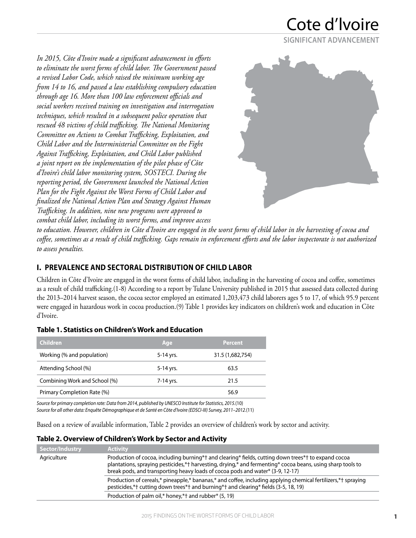## Cote d'lvoire **SIGNIFICANT ADVANCEMENT**

*In 2015, Côte d'Ivoire made a significant advancement in efforts to eliminate the worst forms of child labor. The Government passed a revised Labor Code, which raised the minimum working age from 14 to 16, and passed a law establishing compulsory education through age 16. More than 100 law enforcement officials and social workers received training on investigation and interrogation techniques, which resulted in a subsequent police operation that rescued 48 victims of child trafficking. The National Monitoring Committee on Actions to Combat Trafficking, Exploitation, and Child Labor and the Interministerial Committee on the Fight Against Trafficking, Exploitation, and Child Labor published a joint report on the implementation of the pilot phase of Côte d'Ivoire's child labor monitoring system, SOSTECI. During the reporting period, the Government launched the National Action Plan for the Fight Against the Worst Forms of Child Labor and finalized the National Action Plan and Strategy Against Human Trafficking. In addition, nine new programs were approved to combat child labor, including its worst forms, and improve access* 



*to education. However, children in Côte d'Ivoire are engaged in the worst forms of child labor in the harvesting of cocoa and coffee, sometimes as a result of child trafficking. Gaps remain in enforcement efforts and the labor inspectorate is not authorized to assess penalties.* 

## **I. PREVALENCE AND SECTORAL DISTRIBUTION OF CHILD LABOR**

Children in Côte d'Ivoire are engaged in the worst forms of child labor, including in the harvesting of cocoa and coffee, sometimes as a result of child trafficking.(1-8) According to a report by Tulane University published in 2015 that assessed data collected during the 2013–2014 harvest season, the cocoa sector employed an estimated 1,203,473 child laborers ages 5 to 17, of which 95.9 percent were engaged in hazardous work in cocoa production.(9) Table 1 provides key indicators on children's work and education in Côte d'Ivoire.

### **Table 1. Statistics on Children's Work and Education**

| <b>Children</b>               | Age       | <b>Percent</b>   |
|-------------------------------|-----------|------------------|
| Working (% and population)    | 5-14 yrs. | 31.5 (1,682,754) |
| Attending School (%)          | 5-14 yrs. | 63.5             |
| Combining Work and School (%) | 7-14 yrs. | 21.5             |
| Primary Completion Rate (%)   |           | 56.9             |
|                               |           |                  |

*Source for primary completion rate: Data from 2014, published by UNESCO Institute for Statistics, 2015.*(10) *Source for all other data: Enquête Démographique et de Santé en Côte d'Ivoire (EDSCI-III) Survey, 2011–2012.*(11)

Based on a review of available information, Table 2 provides an overview of children's work by sector and activity.

#### **Table 2. Overview of Children's Work by Sector and Activity**

| Sector/Industry | <b>Activity</b>                                                                                                                                                                                                                                                                                     |
|-----------------|-----------------------------------------------------------------------------------------------------------------------------------------------------------------------------------------------------------------------------------------------------------------------------------------------------|
| Agriculture     | Production of cocoa, including burning*† and clearing* fields, cutting down trees*† to expand cocoa<br>plantations, spraying pesticides,*† harvesting, drying,* and fermenting* cocoa beans, using sharp tools to<br>break pods, and transporting heavy loads of cocoa pods and water* (3-9, 12-17) |
|                 | Production of cereals,* pineapple,* bananas,* and coffee, including applying chemical fertilizers,*† spraying<br>pesticides,*† cutting down trees*† and burning*† and clearing* fields (3-5, 18, 19)                                                                                                |
|                 | Production of palm oil,* honey,*† and rubber* (5, 19)                                                                                                                                                                                                                                               |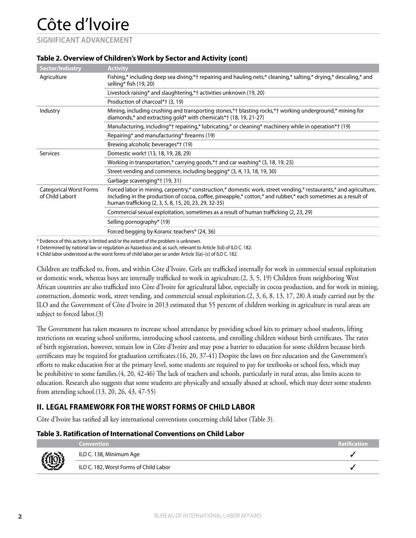**SIGNIFICANT ADVANCEMENT**

| <b>Sector/Industry</b>                            | <b>Activity</b>                                                                                                                                                                                                                                                                             |
|---------------------------------------------------|---------------------------------------------------------------------------------------------------------------------------------------------------------------------------------------------------------------------------------------------------------------------------------------------|
| Agriculture                                       | Fishing,* including deep sea diving,*† repairing and hauling nets;* cleaning,* salting,* drying,* descaling,* and<br>selling* fish (19, 20)                                                                                                                                                 |
|                                                   | Livestock raising* and slaughtering,*† activities unknown (19, 20)                                                                                                                                                                                                                          |
|                                                   | Production of charcoal*† (3, 19)                                                                                                                                                                                                                                                            |
| Industry                                          | Mining, including crushing and transporting stones,*† blasting rocks,*† working underground,* mining for<br>diamonds,* and extracting gold* with chemicals*† (18, 19, 21-27)                                                                                                                |
|                                                   | Manufacturing, including*† repairing,* lubricating,* or cleaning* machinery while in operation*† (19)                                                                                                                                                                                       |
|                                                   | Repairing* and manufacturing* firearms (19)                                                                                                                                                                                                                                                 |
|                                                   | Brewing alcoholic beverages*† (19)                                                                                                                                                                                                                                                          |
| <b>Services</b>                                   | Domestic work† (13, 18, 19, 28, 29)                                                                                                                                                                                                                                                         |
|                                                   | Working in transportation,* carrying goods,*† and car washing* $(3, 18, 19, 23)$                                                                                                                                                                                                            |
|                                                   | Street vending and commerce, including begging* (3, 4, 13, 18, 19, 30)                                                                                                                                                                                                                      |
|                                                   | Garbage scavenging*† (19, 31)                                                                                                                                                                                                                                                               |
| <b>Categorical Worst Forms</b><br>of Child Labor# | Forced labor in mining, carpentry,* construction,* domestic work, street vending,* restaurants,* and agriculture,<br>including in the production of cocoa, coffee, pineapple,* cotton,* and rubber,* each sometimes as a result of<br>human trafficking (2, 3, 5, 8, 15, 20, 23, 29, 32-35) |
|                                                   | Commercial sexual exploitation, sometimes as a result of human trafficking (2, 23, 29)                                                                                                                                                                                                      |
|                                                   | Selling pornography* (19)                                                                                                                                                                                                                                                                   |
|                                                   | Forced begging by Koranic teachers* (24, 36)                                                                                                                                                                                                                                                |

#### **Table 2. Overview of Children's Work by Sector and Activity (cont)**

\* Evidence of this activity is limited and/or the extent of the problem is unknown.

† Determined by national law or regulation as hazardous and, as such, relevant to Article 3(d) of ILO C. 182.

‡ Child labor understood as the worst forms of child labor per se under Article 3(a)–(c) of ILO C. 182.

Children are trafficked to, from, and within Côte d'Ivoire. Girls are trafficked internally for work in commercial sexual exploitation or domestic work, whereas boys are internally trafficked to work in agriculture.(2, 3, 5, 19) Children from neighboring West African countries are also trafficked into Côte d'Ivoire for agricultural labor, especially in cocoa production, and for work in mining, construction, domestic work, street vending, and commercial sexual exploitation.(2, 3, 6, 8, 13, 17, 28) A study carried out by the ILO and the Government of Côte d'Ivoire in 2013 estimated that 55 percent of children working in agriculture in rural areas are subject to forced labor.(3)

The Government has taken measures to increase school attendance by providing school kits to primary school students, lifting restrictions on wearing school uniforms, introducing school canteens, and enrolling children without birth certificates. The rates of birth registration, however, remain low in Côte d'Ivoire and may pose a barrier to education for some children because birth certificates may be required for graduation certificates.(16, 20, 37-41) Despite the laws on free education and the Government's efforts to make education free at the primary level, some students are required to pay for textbooks or school fees, which may be prohibitive to some families.(4, 20, 42-46) The lack of teachers and schools, particularly in rural areas, also limits access to education. Research also suggests that some students are physically and sexually abused at school, which may deter some students from attending school.(13, 20, 26, 43, 47-55)

## **II. LEGAL FRAMEWORK FOR THE WORST FORMS OF CHILD LABOR**

Côte d'Ivoire has ratified all key international conventions concerning child labor (Table 3).

#### **Table 3. Ratification of International Conventions on Child Labor**

|           | <b>Convention</b>                      | <b>Ratification</b> |
|-----------|----------------------------------------|---------------------|
|           | ILO C. 138, Minimum Age                |                     |
| <b>ED</b> | ILO C. 182, Worst Forms of Child Labor |                     |
|           |                                        |                     |

п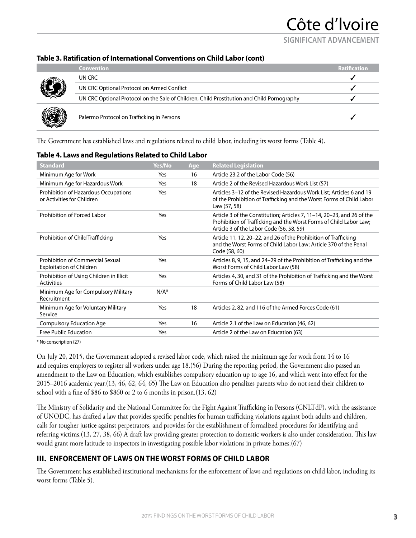**SIGNIFICANT ADVANCEMENT**

#### **Table 3. Ratification of International Conventions on Child Labor (cont)**

|            | <b>Convention</b>                                                                          | <b>Ratification</b> |
|------------|--------------------------------------------------------------------------------------------|---------------------|
|            | UN CRC                                                                                     |                     |
| <b>AND</b> | UN CRC Optional Protocol on Armed Conflict                                                 |                     |
|            | UN CRC Optional Protocol on the Sale of Children, Child Prostitution and Child Pornography |                     |
|            | Palermo Protocol on Trafficking in Persons                                                 |                     |

The Government has established laws and regulations related to child labor, including its worst forms (Table 4).

| Yes/No  | Age | <b>Related Legislation</b>                                                                                                                                                               |  |  |
|---------|-----|------------------------------------------------------------------------------------------------------------------------------------------------------------------------------------------|--|--|
| Yes     | 16  | Article 23.2 of the Labor Code (56)                                                                                                                                                      |  |  |
| Yes     | 18  | Article 2 of the Revised Hazardous Work List (57)                                                                                                                                        |  |  |
| Yes     |     | Articles 3-12 of the Revised Hazardous Work List; Articles 6 and 19<br>of the Prohibition of Trafficking and the Worst Forms of Child Labor<br>Law (57, 58)                              |  |  |
| Yes     |     | Article 3 of the Constitution; Articles 7, 11-14, 20-23, and 26 of the<br>Prohibition of Trafficking and the Worst Forms of Child Labor Law;<br>Article 3 of the Labor Code (56, 58, 59) |  |  |
| Yes     |     | Article 11, 12, 20-22, and 26 of the Prohibition of Trafficking<br>and the Worst Forms of Child Labor Law; Article 370 of the Penal<br>Code (58, 60)                                     |  |  |
| Yes     |     | Articles 8, 9, 15, and 24–29 of the Prohibition of Trafficking and the<br>Worst Forms of Child Labor Law (58)                                                                            |  |  |
| Yes     |     | Articles 4, 30, and 31 of the Prohibition of Trafficking and the Worst<br>Forms of Child Labor Law (58)                                                                                  |  |  |
| $N/A^*$ |     |                                                                                                                                                                                          |  |  |
| Yes     | 18  | Articles 2, 82, and 116 of the Armed Forces Code (61)                                                                                                                                    |  |  |
| Yes     | 16  | Article 2.1 of the Law on Education (46, 62)                                                                                                                                             |  |  |
| Yes     |     | Article 2 of the Law on Education (63)                                                                                                                                                   |  |  |
|         |     |                                                                                                                                                                                          |  |  |

#### **Table 4. Laws and Regulations Related to Child Labor**

\* No conscription (27)

On July 20, 2015, the Government adopted a revised labor code, which raised the minimum age for work from 14 to 16 and requires employers to register all workers under age 18.(56) During the reporting period, the Government also passed an amendment to the Law on Education, which establishes compulsory education up to age 16, and which went into effect for the 2015–2016 academic year.(13, 46, 62, 64, 65) The Law on Education also penalizes parents who do not send their children to school with a fine of \$86 to \$860 or 2 to 6 months in prison.(13, 62)

The Ministry of Solidarity and the National Committee for the Fight Against Trafficking in Persons (CNLTdP), with the assistance of UNODC, has drafted a law that provides specific penalties for human trafficking violations against both adults and children, calls for tougher justice against perpetrators, and provides for the establishment of formalized procedures for identifying and referring victims.(13, 27, 38, 66) A draft law providing greater protection to domestic workers is also under consideration. This law would grant more latitude to inspectors in investigating possible labor violations in private homes.(67)

### **III. ENFORCEMENT OF LAWS ON THE WORST FORMS OF CHILD LABOR**

The Government has established institutional mechanisms for the enforcement of laws and regulations on child labor, including its worst forms (Table 5).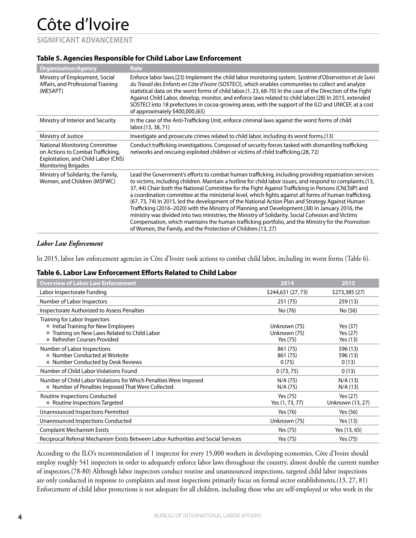**SIGNIFICANT ADVANCEMENT**

#### **Table 5. Agencies Responsible for Child Labor Law Enforcement**

| <b>Organization/Agency</b>                                                                                                              | <b>Role</b>                                                                                                                                                                                                                                                                                                                                                                                                                                                                                                                                                                                                                                                                                                                                                                                                                                                                                                             |
|-----------------------------------------------------------------------------------------------------------------------------------------|-------------------------------------------------------------------------------------------------------------------------------------------------------------------------------------------------------------------------------------------------------------------------------------------------------------------------------------------------------------------------------------------------------------------------------------------------------------------------------------------------------------------------------------------------------------------------------------------------------------------------------------------------------------------------------------------------------------------------------------------------------------------------------------------------------------------------------------------------------------------------------------------------------------------------|
| Ministry of Employment, Social<br>Affairs, and Professional Training<br>(MESAPT)                                                        | Enforce labor laws.(23) Implement the child labor monitoring system, Système d'Observation et de Suivi<br>du Travail des Enfants en Côte d'Ivoire (SOSTECI), which enables communities to collect and analyze<br>statistical data on the worst forms of child labor.(1, 23, 68-70) In the case of the Direction of the Fight<br>Against Child Labor, develop, monitor, and enforce laws related to child labor.(28) In 2015, extended<br>SOSTECI into 18 prefectures in cocoa-growing areas, with the support of the ILO and UNICEF, at a cost<br>of approximately \$400,000.(65)                                                                                                                                                                                                                                                                                                                                       |
| Ministry of Interior and Security                                                                                                       | In the case of the Anti-Trafficking Unit, enforce criminal laws against the worst forms of child<br>labor.(13, 38, 71)                                                                                                                                                                                                                                                                                                                                                                                                                                                                                                                                                                                                                                                                                                                                                                                                  |
| Ministry of Justice                                                                                                                     | Investigate and prosecute crimes related to child labor, including its worst forms. (13)                                                                                                                                                                                                                                                                                                                                                                                                                                                                                                                                                                                                                                                                                                                                                                                                                                |
| National Monitoring Committee<br>on Actions to Combat Trafficking,<br>Exploitation, and Child Labor (CNS)<br><b>Monitoring Brigades</b> | Conduct trafficking investigations. Composed of security forces tasked with dismantling trafficking<br>networks and rescuing exploited children or victims of child trafficking.(28, 72)                                                                                                                                                                                                                                                                                                                                                                                                                                                                                                                                                                                                                                                                                                                                |
| Ministry of Solidarity, the Family,<br>Women, and Children (MSFWC)                                                                      | Lead the Government's efforts to combat human trafficking, including providing repatriation services<br>to victims, including children. Maintain a hotline for child labor issues, and respond to complaints.(13,<br>37, 44) Chair both the National Committee for the Fight Against Trafficking in Persons (CNLTdP) and<br>a coordination committee at the ministerial level, which fights against all forms of human trafficking.<br>(67, 73, 74) In 2015, led the development of the National Action Plan and Strategy Against Human<br>Trafficking (2016–2020) with the Ministry of Planning and Development. (38) In January 2016, the<br>ministry was divided into two ministries; the Ministry of Solidarity, Social Cohesion and Victims<br>Compensation, which maintains the human trafficking portfolio, and the Ministry for the Promotion<br>of Women, the Family, and the Protection of Children. (13, 27) |

#### *Labor Law Enforcement*

In 2015, labor law enforcement agencies in Côte d'Ivoire took actions to combat child labor, including its worst forms (Table 6).

#### **Table 6. Labor Law Enforcement Efforts Related to Child Labor**

| <b>Overview of Labor Law Enforcement</b>                                                                                                                | 2014                                     | 2015                             |
|---------------------------------------------------------------------------------------------------------------------------------------------------------|------------------------------------------|----------------------------------|
| Labor Inspectorate Funding                                                                                                                              | \$244,631 (27, 73)                       | \$273,385 (27)                   |
| Number of Labor Inspectors                                                                                                                              | 251 (75)                                 | 259(13)                          |
| Inspectorate Authorized to Assess Penalties                                                                                                             | No (76)                                  | No (56)                          |
| Training for Labor Inspectors<br>Initial Training for New Employees<br>Training on New Laws Related to Child Labor<br><b>Refresher Courses Provided</b> | Unknown (75)<br>Unknown (75)<br>Yes (75) | Yes (37)<br>Yes (27)<br>Yes (13) |
| Number of Labor Inspections<br>■ Number Conducted at Worksite<br>Number Conducted by Desk Reviews                                                       | 861 (75)<br>861 (75)<br>0(75)            | 596 (13)<br>596 (13)<br>0(13)    |
| Number of Child Labor Violations Found                                                                                                                  | 0(73, 75)                                | 0(13)                            |
| Number of Child Labor Violations for Which Penalties Were Imposed<br>■ Number of Penalties Imposed That Were Collected                                  | N/A (75)<br>N/A (75)                     | N/A(13)<br>N/A(13)               |
| Routine Inspections Conducted<br>■ Routine Inspections Targeted                                                                                         | Yes (75)<br>Yes (1, 73, 77)              | Yes (27)<br>Unknown (13, 27)     |
| Unannounced Inspections Permitted                                                                                                                       | Yes (76)                                 | Yes (56)                         |
| Unannounced Inspections Conducted                                                                                                                       | Unknown (75)                             | Yes (13)                         |
| <b>Complaint Mechanism Exists</b>                                                                                                                       | Yes (75)                                 | Yes (13, 65)                     |
| Reciprocal Referral Mechanism Exists Between Labor Authorities and Social Services                                                                      | Yes (75)                                 | Yes (75)                         |

According to the ILO's recommendation of 1 inspector for every 15,000 workers in developing economies, Côte d'Ivoire should employ roughly 541 inspectors in order to adequately enforce labor laws throughout the country, almost double the current number of inspectors.(78-80) Although labor inspectors conduct routine and unannounced inspections, targeted child labor inspections are only conducted in response to complaints and most inspections primarily focus on formal sector establishments.(13, 27, 81) Enforcement of child labor protections is not adequate for all children, including those who are self-employed or who work in the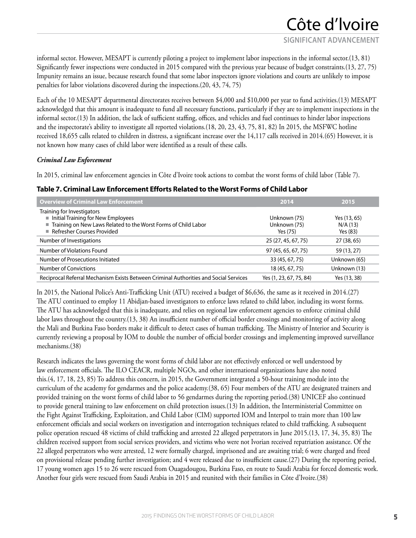informal sector. However, MESAPT is currently piloting a project to implement labor inspections in the informal sector.(13, 81) Significantly fewer inspections were conducted in 2015 compared with the previous year because of budget constraints.(13, 27, 75) Impunity remains an issue, because research found that some labor inspectors ignore violations and courts are unlikely to impose penalties for labor violations discovered during the inspections.(20, 43, 74, 75)

Each of the 10 MESAPT departmental directorates receives between \$4,000 and \$10,000 per year to fund activities.(13) MESAPT acknowledged that this amount is inadequate to fund all necessary functions, particularly if they are to implement inspections in the informal sector.(13) In addition, the lack of sufficient staffing, offices, and vehicles and fuel continues to hinder labor inspections and the inspectorate's ability to investigate all reported violations.(18, 20, 23, 43, 75, 81, 82) In 2015, the MSFWC hotline received 18,655 calls related to children in distress, a significant increase over the 14,117 calls received in 2014.(65) However, it is not known how many cases of child labor were identified as a result of these calls.

#### *Criminal Law Enforcement*

In 2015, criminal law enforcement agencies in Côte d'Ivoire took actions to combat the worst forms of child labor (Table 7).

| <b>Overview of Criminal Law Enforcement</b>                                                                                                                        | 2014                                     | 2015                                |  |
|--------------------------------------------------------------------------------------------------------------------------------------------------------------------|------------------------------------------|-------------------------------------|--|
| Training for Investigators<br>Initial Training for New Employees<br>Training on New Laws Related to the Worst Forms of Child Labor<br>■ Refresher Courses Provided | Unknown (75)<br>Unknown (75)<br>Yes (75) | Yes (13, 65)<br>N/A(13)<br>Yes (83) |  |
| Number of Investigations                                                                                                                                           | 25 (27, 45, 67, 75)                      | 27 (38, 65)                         |  |
| Number of Violations Found                                                                                                                                         | 97 (45, 65, 67, 75)                      | 59 (13, 27)                         |  |
| Number of Prosecutions Initiated                                                                                                                                   | 33 (45, 67, 75)                          | Unknown (65)                        |  |
| Number of Convictions                                                                                                                                              | 18 (45, 67, 75)                          | Unknown (13)                        |  |
| Reciprocal Referral Mechanism Exists Between Criminal Authorities and Social Services                                                                              | Yes (1, 23, 67, 75, 84)                  | Yes (13, 38)                        |  |

#### **Table 7. Criminal Law Enforcement Efforts Related to the Worst Forms of Child Labor**

In 2015, the National Police's Anti-Trafficking Unit (ATU) received a budget of \$6,636, the same as it received in 2014.(27) The ATU continued to employ 11 Abidjan-based investigators to enforce laws related to child labor, including its worst forms. The ATU has acknowledged that this is inadequate, and relies on regional law enforcement agencies to enforce criminal child labor laws throughout the country.(13, 38) An insufficient number of official border crossings and monitoring of activity along the Mali and Burkina Faso borders make it difficult to detect cases of human trafficking. The Ministry of Interior and Security is currently reviewing a proposal by IOM to double the number of official border crossings and implementing improved surveillance mechanisms.(38)

Research indicates the laws governing the worst forms of child labor are not effectively enforced or well understood by law enforcement officials. The ILO CEACR, multiple NGOs, and other international organizations have also noted this.(4, 17, 18, 23, 85) To address this concern, in 2015, the Government integrated a 50-hour training module into the curriculum of the academy for gendarmes and the police academy.(38, 65) Four members of the ATU are designated trainers and provided training on the worst forms of child labor to 56 gendarmes during the reporting period.(38) UNICEF also continued to provide general training to law enforcement on child protection issues.(13) In addition, the Interministerial Committee on the Fight Against Trafficking, Exploitation, and Child Labor (CIM) supported IOM and Interpol to train more than 100 law enforcement officials and social workers on investigation and interrogation techniques related to child trafficking. A subsequent police operation rescued 48 victims of child trafficking and arrested 22 alleged perpetrators in June 2015.(13, 17, 34, 35, 83) The children received support from social services providers, and victims who were not Ivorian received repatriation assistance. Of the 22 alleged perpetrators who were arrested, 12 were formally charged, imprisoned and are awaiting trial; 6 were charged and freed on provisional release pending further investigation; and 4 were released due to insufficient cause.(27) During the reporting period, 17 young women ages 15 to 26 were rescued from Ouagadougou, Burkina Faso, en route to Saudi Arabia for forced domestic work. Another four girls were rescued from Saudi Arabia in 2015 and reunited with their families in Côte d'Ivoire.(38)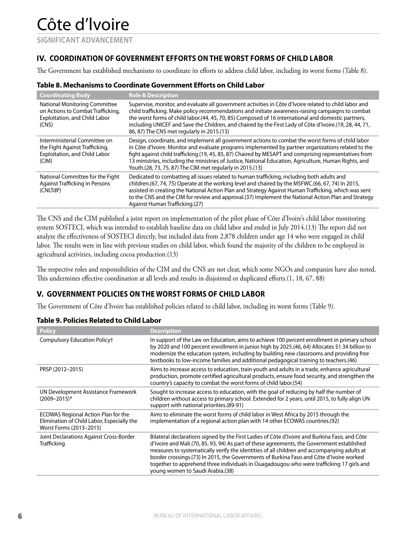**SIGNIFICANT ADVANCEMENT**

### **IV. COORDINATION OF GOVERNMENT EFFORTS ON THE WORST FORMS OF CHILD LABOR**

The Government has established mechanisms to coordinate its efforts to address child labor, including its worst forms (Table 8).

#### **Table 8. Mechanisms to Coordinate Government Efforts on Child Labor**

| <b>Coordinating Body</b>                                                                                            | <b>Role &amp; Description</b>                                                                                                                                                                                                                                                                                                                                                                                                                                                             |
|---------------------------------------------------------------------------------------------------------------------|-------------------------------------------------------------------------------------------------------------------------------------------------------------------------------------------------------------------------------------------------------------------------------------------------------------------------------------------------------------------------------------------------------------------------------------------------------------------------------------------|
| <b>National Monitoring Committee</b><br>on Actions to Combat Trafficking,<br>Exploitation, and Child Labor<br>(CNS) | Supervise, monitor, and evaluate all government activities in Côte d'Ivoire related to child labor and<br>child trafficking. Make policy recommendations and initiate awareness-raising campaigns to combat<br>the worst forms of child labor.(44, 45, 70, 85) Composed of 16 international and domestic partners,<br>including UNICEF and Save the Children, and chaired by the First Lady of Côte d'Ivoire.(19, 28, 44, 71,<br>86, 87) The CNS met regularly in 2015.(13)               |
| Interministerial Committee on<br>the Fight Against Trafficking,<br>Exploitation, and Child Labor<br>(CIM)           | Design, coordinate, and implement all government actions to combat the worst forms of child labor<br>in Côte d'Ivoire. Monitor and evaluate programs implemented by partner organizations related to the<br>fight against child trafficking.(19, 45, 85, 87) Chaired by MESAPT and comprising representatives from<br>13 ministries, including the ministries of Justice, National Education, Agriculture, Human Rights, and<br>Youth.(28, 73, 75, 87) The CIM met regularly in 2015.(13) |
| National Committee for the Fight<br><b>Against Trafficking in Persons</b><br>(CNLTdP)                               | Dedicated to combatting all issues related to human trafficking, including both adults and<br>children.(67, 74, 75) Operate at the working level and chaired by the MSFWC.(66, 67, 74) In 2015,<br>assisted in creating the National Action Plan and Strategy Against Human Trafficking, which was sent<br>to the CNS and the CIM for review and approval. (37) Implement the National Action Plan and Strategy<br>Against Human Trafficking.(27)                                         |

The CNS and the CIM published a joint report on implementation of the pilot phase of Côte d'Ivoire's child labor monitoring system SOSTECI, which was intended to establish baseline data on child labor and ended in July 2014.(13) The report did not analyze the effectiveness of SOSTECI directly, but included data from 2,878 children under age 14 who were engaged in child labor. The results were in line with previous studies on child labor, which found the majority of the children to be employed in agricultural activities, including cocoa production.(13)

The respective roles and responsibilities of the CIM and the CNS are not clear, which some NGOs and companies have also noted. This undermines effective coordination at all levels and results in disjointed or duplicated efforts.(1, 18, 67, 88)

### **V. GOVERNMENT POLICIES ON THE WORST FORMS OF CHILD LABOR**

The Government of Côte d'Ivoire has established policies related to child labor, including its worst forms (Table 9).

| <b>Policy</b>                                                                                                       | <b>Description</b>                                                                                                                                                                                                                                                                                                                                                                                                                                                                                                    |
|---------------------------------------------------------------------------------------------------------------------|-----------------------------------------------------------------------------------------------------------------------------------------------------------------------------------------------------------------------------------------------------------------------------------------------------------------------------------------------------------------------------------------------------------------------------------------------------------------------------------------------------------------------|
| Compulsory Education Policyt                                                                                        | In support of the Law on Education, aims to achieve 100 percent enrollment in primary school<br>by 2020 and 100 percent enrollment in junior high by 2025.(46, 64) Allocates \$1.34 billion to<br>modernize the education system, including by building new classrooms and providing free<br>textbooks to low-income families and additional pedagogical training to teachers.(46)                                                                                                                                    |
| PRSP (2012-2015)                                                                                                    | Aims to increase access to education, train youth and adults in a trade, enhance agricultural<br>production, promote certified agricultural products, ensure food security, and strengthen the<br>country's capacity to combat the worst forms of child labor.(54)                                                                                                                                                                                                                                                    |
| UN Development Assistance Framework<br>$(2009 - 2015)^*$                                                            | Sought to increase access to education, with the goal of reducing by half the number of<br>children without access to primary school. Extended for 2 years, until 2015, to fully align UN<br>support with national priorities. (89-91)                                                                                                                                                                                                                                                                                |
| <b>ECOWAS Regional Action Plan for the</b><br>Elimination of Child Labor, Especially the<br>Worst Forms (2013-2015) | Aims to eliminate the worst forms of child labor in West Africa by 2015 through the<br>implementation of a regional action plan with 14 other ECOWAS countries.(92)                                                                                                                                                                                                                                                                                                                                                   |
| Joint Declarations Against Cross-Border<br><b>Trafficking</b>                                                       | Bilateral declarations signed by the First Ladies of Côte d'Ivoire and Burkina Faso, and Côte<br>d'Ivoire and Mali.(70, 85, 93, 94) As part of these agreements, the Government established<br>measures to systematically verify the identities of all children and accompanying adults at<br>border crossings.(73) In 2015, the Governments of Burkina Faso and Côte d'Ivoire worked<br>together to apprehend three individuals in Ouagadougou who were trafficking 17 girls and<br>young women to Saudi Arabia.(38) |

#### **Table 9. Policies Related to Child Labor**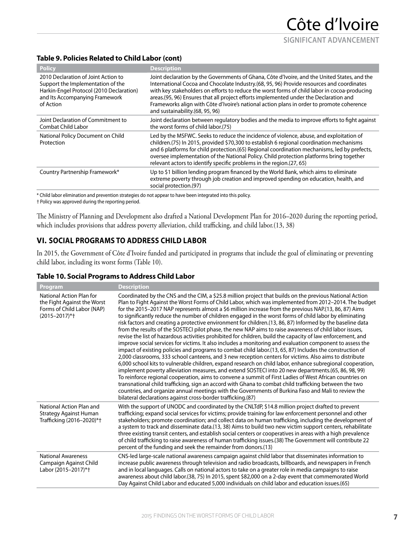### **Table 9. Policies Related to Child Labor (cont)**

| <b>Policy</b>                                                                                                                                                       | <b>Description</b>                                                                                                                                                                                                                                                                                                                                                                                                                                                                                                  |
|---------------------------------------------------------------------------------------------------------------------------------------------------------------------|---------------------------------------------------------------------------------------------------------------------------------------------------------------------------------------------------------------------------------------------------------------------------------------------------------------------------------------------------------------------------------------------------------------------------------------------------------------------------------------------------------------------|
| 2010 Declaration of Joint Action to<br>Support the Implementation of the<br>Harkin-Engel Protocol (2010 Declaration)<br>and Its Accompanying Framework<br>of Action | Joint declaration by the Governments of Ghana, Côte d'Ivoire, and the United States, and the<br>International Cocoa and Chocolate Industry.(68, 95, 96) Provide resources and coordinates<br>with key stakeholders on efforts to reduce the worst forms of child labor in cocoa-producing<br>areas. (95, 96) Ensures that all project efforts implemented under the Declaration and<br>Frameworks align with Côte d'Ivoire's national action plans in order to promote coherence<br>and sustainability.(68, 95, 96) |
| Joint Declaration of Commitment to<br>Combat Child Labor                                                                                                            | Joint declaration between regulatory bodies and the media to improve efforts to fight against<br>the worst forms of child labor.(75)                                                                                                                                                                                                                                                                                                                                                                                |
| National Policy Document on Child<br>Protection                                                                                                                     | Led by the MSFWC. Seeks to reduce the incidence of violence, abuse, and exploitation of<br>children.(75) In 2015, provided \$70,300 to establish 6 regional coordination mechanisms<br>and 6 platforms for child protection.(65) Regional coordination mechanisms, led by prefects,<br>oversee implementation of the National Policy. Child protection platforms bring together<br>relevant actors to identify specific problems in the region. (27, 65)                                                            |
| Country Partnership Framework*                                                                                                                                      | Up to \$1 billion lending program financed by the World Bank, which aims to eliminate<br>extreme poverty through job creation and improved spending on education, health, and<br>social protection.(97)                                                                                                                                                                                                                                                                                                             |

\* Child labor elimination and prevention strategies do not appear to have been integrated into this policy.

† Policy was approved during the reporting period.

The Ministry of Planning and Development also drafted a National Development Plan for 2016–2020 during the reporting period, which includes provisions that address poverty alleviation, child trafficking, and child labor.(13, 38)

### **VI. SOCIAL PROGRAMS TO ADDRESS CHILD LABOR**

In 2015, the Government of Côte d'Ivoire funded and participated in programs that include the goal of eliminating or preventing child labor, including its worst forms (Table 10).

#### **Table 10. Social Programs to Address Child Labor**

| Program                                                                                                    | <b>Description</b>                                                                                                                                                                                                                                                                                                                                                                                                                                                                                                                                                                                                                                                                                                                                                                                                                                                                                                                                                                                                                                                                                                                                                                                                                                                                                                                                                                                                                                                                                                                                                                                                                                                                                                                    |
|------------------------------------------------------------------------------------------------------------|---------------------------------------------------------------------------------------------------------------------------------------------------------------------------------------------------------------------------------------------------------------------------------------------------------------------------------------------------------------------------------------------------------------------------------------------------------------------------------------------------------------------------------------------------------------------------------------------------------------------------------------------------------------------------------------------------------------------------------------------------------------------------------------------------------------------------------------------------------------------------------------------------------------------------------------------------------------------------------------------------------------------------------------------------------------------------------------------------------------------------------------------------------------------------------------------------------------------------------------------------------------------------------------------------------------------------------------------------------------------------------------------------------------------------------------------------------------------------------------------------------------------------------------------------------------------------------------------------------------------------------------------------------------------------------------------------------------------------------------|
| National Action Plan for<br>the Fight Against the Worst<br>Forms of Child Labor (NAP)<br>$(2015 - 2017)*+$ | Coordinated by the CNS and the CIM, a \$25.8 million project that builds on the previous National Action<br>Plan to Fight Against the Worst Forms of Child Labor, which was implemented from 2012-2014. The budget<br>for the 2015–2017 NAP represents almost a \$6 million increase from the previous NAP.(13, 86, 87) Aims<br>to significantly reduce the number of children engaged in the worst forms of child labor by eliminating<br>risk factors and creating a protective environment for children.(13, 86, 87) Informed by the baseline data<br>from the results of the SOSTECI pilot phase, the new NAP aims to raise awareness of child labor issues,<br>revise the list of hazardous activities prohibited for children, build the capacity of law enforcement, and<br>improve social services for victims. It also includes a monitoring and evaluation component to assess the<br>impact of existing policies and programs to combat child labor.(13, 65, 87) Includes the construction of<br>2,000 classrooms, 333 school canteens, and 3 new reception centers for victims. Also aims to distribute<br>6,000 school kits to vulnerable children, expand research on child labor, enhance subregional cooperation,<br>implement poverty alleviation measures, and extend SOSTECI into 20 new departments.(65, 86, 98, 99)<br>To reinforce regional cooperation, aims to convene a summit of First Ladies of West African countries on<br>transnational child trafficking, sign an accord with Ghana to combat child trafficking between the two<br>countries, and organize annual meetings with the Governments of Burkina Faso and Mali to review the<br>bilateral declarations against cross-border trafficking.(87) |
| National Action Plan and<br><b>Strategy Against Human</b><br>Trafficking (2016-2020)*+                     | With the support of UNODC and coordinated by the CNLTdP, \$14.8 million project drafted to prevent<br>trafficking; expand social services for victims; provide training for law enforcement personnel and other<br>stakeholders; promote coordination; and collect data on human trafficking, including the development of<br>a system to track and disseminate data.(13, 38) Aims to build two new victim support centers, rehabilitate<br>three existing transit centers, and establish social centers or cooperatives in areas with a high prevalence<br>of child trafficking to raise awareness of human trafficking issues.(38) The Government will contribute 22<br>percent of the funding and seek the remainder from donors.(13)                                                                                                                                                                                                                                                                                                                                                                                                                                                                                                                                                                                                                                                                                                                                                                                                                                                                                                                                                                                              |
| <b>National Awareness</b><br>Campaign Against Child<br>Labor (2015-2017)*+                                 | CNS-led large-scale national awareness campaign against child labor that disseminates information to<br>increase public awareness through television and radio broadcasts, billboards, and newspapers in French<br>and in local languages. Calls on national actors to take on a greater role in media campaigns to raise<br>awareness about child labor.(38, 75) In 2015, spent \$82,000 on a 2-day event that commemorated World<br>Day Against Child Labor and educated 5,000 individuals on child labor and education issues.(65)                                                                                                                                                                                                                                                                                                                                                                                                                                                                                                                                                                                                                                                                                                                                                                                                                                                                                                                                                                                                                                                                                                                                                                                                 |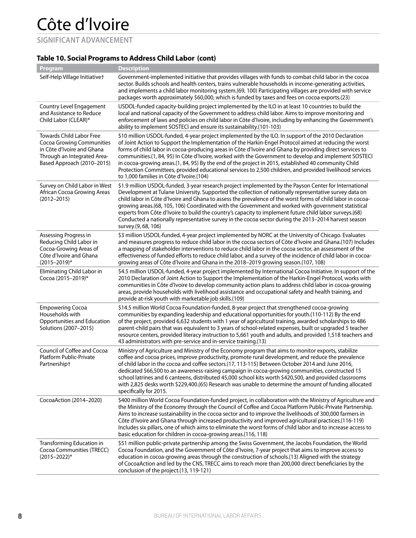**SIGNIFICANT ADVANCEMENT**

### **Table 10. Social Programs to Address Child Labor (cont)**

| Program                                                                                                                                                 | <b>Description</b>                                                                                                                                                                                                                                                                                                                                                                                                                                                                                                                                                                                                                                                                                  |
|---------------------------------------------------------------------------------------------------------------------------------------------------------|-----------------------------------------------------------------------------------------------------------------------------------------------------------------------------------------------------------------------------------------------------------------------------------------------------------------------------------------------------------------------------------------------------------------------------------------------------------------------------------------------------------------------------------------------------------------------------------------------------------------------------------------------------------------------------------------------------|
| Self-Help Village Initiativet                                                                                                                           | Government-implemented initiative that provides villages with funds to combat child labor in the cocoa<br>sector. Builds schools and health centers, trains vulnerable households in income-generating activities,<br>and implements a child labor monitoring system.(69, 100) Participating villages are provided with service<br>packages worth approximately \$60,000, which is funded by taxes and fees on cocoa exports.(23)                                                                                                                                                                                                                                                                   |
| Country Level Engagement<br>and Assistance to Reduce<br>Child Labor (CLEAR)*                                                                            | USDOL-funded capacity-building project implemented by the ILO in at least 10 countries to build the<br>local and national capacity of the Government to address child labor. Aims to improve monitoring and<br>enforcement of laws and policies on child labor in Côte d'Ivoire, including by enhancing the Government's<br>ability to implement SOSTECI and ensure its sustainability.(101-103)                                                                                                                                                                                                                                                                                                    |
| Towards Child Labor Free<br><b>Cocoa Growing Communities</b><br>in Côte d'Ivoire and Ghana<br>Through an Integrated Area-<br>Based Approach (2010-2015) | \$10 million USDOL-funded, 4-year project implemented by the ILO. In support of the 2010 Declaration<br>of Joint Action to Support the Implementation of the Harkin-Engel Protocol aimed at reducing the worst<br>forms of child labor in cocoa-producing areas in Côte d'Ivoire and Ghana by providing direct services to<br>communities.(1, 84, 95) In Côte d'Ivoire, worked with the Government to develop and implement SOSTECI<br>in cocoa-growing areas.(1, 84, 95) By the end of the project in 2015, established 40 community Child<br>Protection Committees, provided educational services to 2,500 children, and provided livelihood services<br>to 1,000 families in Côte d'Ivoire.(104) |
| Survey on Child Labor in West<br>African Cocoa Growing Areas<br>$(2012 - 2015)$                                                                         | \$1.9 million USDOL-funded, 3-year research project implemented by the Payson Center for International<br>Development at Tulane University. Supported the collection of nationally representative survey data on<br>child labor in Côte d'Ivoire and Ghana to assess the prevalence of the worst forms of child labor in cocoa-<br>growing areas.(68, 105, 106) Coordinated with the Government and worked with government statistical<br>experts from Côte d'Ivoire to build the country's capacity to implement future child labor surveys.(68)<br>Conducted a nationally representative survey in the cocoa sector during the 2013-2014 harvest season<br>survey.(9, 68, 106)                    |
| Assessing Progress in<br>Reducing Child Labor in<br>Cocoa-Growing Areas of<br>Côte d'Ivoire and Ghana<br>$(2015 - 2019)^*$                              | \$3 million USDOL-funded, 4-year project implemented by NORC at the University of Chicago. Evaluates<br>and measures progress to reduce child labor in the cocoa sectors of Côte d'Ivoire and Ghana.(107) Includes<br>a mapping of stakeholder interventions to reduce child labor in the cocoa sector, an assessment of the<br>effectiveness of funded efforts to reduce child labor, and a survey of the incidence of child labor in cocoa-<br>growing areas of Côte d'Ivoire and Ghana in the 2018–2019 growing season.(107, 108)                                                                                                                                                                |
| Eliminating Child Labor in<br>Cocoa (2015-2019)*                                                                                                        | \$4.5 million USDOL-funded, 4-year project implemented by International Cocoa Initiative. In support of the<br>2010 Declaration of Joint Action to Support the Implementation of the Harkin-Engel Protocol, works with<br>communities in Côte d'Ivoire to develop community action plans to address child labor in cocoa-growing<br>areas, provide households with livelihood assistance and occupational safety and health training, and<br>provide at-risk youth with marketable job skills.(109)                                                                                                                                                                                                 |
| <b>Empowering Cocoa</b><br>Households with<br>Opportunities and Education<br>Solutions (2007-2015)                                                      | \$14.5 million World Cocoa Foundation-funded, 8-year project that strengthened cocoa-growing<br>communities by expanding leadership and educational opportunities for youth.(110-112) By the end<br>of the project, provided 6,632 students with 1 year of agricultural training, awarded scholarships to 486<br>parent-child pairs that was equivalent to 3 years of school-related expenses, built or upgraded 5 teacher<br>resource centers, provided literacy instruction to 5,661 youth and adults, and provided 1,518 teachers and<br>43 administrators with pre-service and in-service training.(13)                                                                                         |
| Council of Coffee and Cocoa<br>Platform Public-Private<br>Partnershipt                                                                                  | Ministry of Agriculture and Ministry of the Economy program that aims to monitor exports, stabilize<br>coffee and cocoa prices, improve productivity, promote rural development, and reduce the prevalence<br>of child labor in the cocoa and coffee sectors.(17, 113-115) Between October 2014 and June 2016,<br>dedicated \$66,500 to an awareness-raising campaign in cocoa-growing communities, constructed 15<br>school latrines and 6 canteens, distributed 45,000 school kits worth \$420,500, and provided classrooms<br>with 2,825 desks worth \$229,400.(65) Research was unable to determine the amount of funding allocated<br>specifically for 2015.                                   |
| CocoaAction (2014-2020)                                                                                                                                 | \$400 million World Cocoa Foundation-funded project, in collaboration with the Ministry of Agriculture and<br>the Ministry of the Economy through the Council of Coffee and Cocoa Platform Public-Private Partnership.<br>Aims to increase sustainability in the cocoa sector and to improve the livelihoods of 300,000 farmers in<br>Côte d'Ivoire and Ghana through increased productivity and improved agricultural practices. (116-119)<br>Includes six pillars, one of which aims to eliminate the worst forms of child labor and to increase access to<br>basic education for children in cocoa-growing areas.(116, 118)                                                                      |
| Transforming Education in<br>Cocoa Communities (TRECC)<br>$(2015 - 2022)^*$                                                                             | \$51 million public-private partnership among the Swiss Government, the Jacobs Foundation, the World<br>Cocoa Foundation, and the Government of Côte d'Ivoire, 7-year project that aims to improve access to<br>education in cocoa-growing areas through the construction of schools.(13) Aligned with the strategy<br>of CocoaAction and led by the CNS, TRECC aims to reach more than 200,000 direct beneficiaries by the<br>conclusion of the project.(13, 119-121)                                                                                                                                                                                                                              |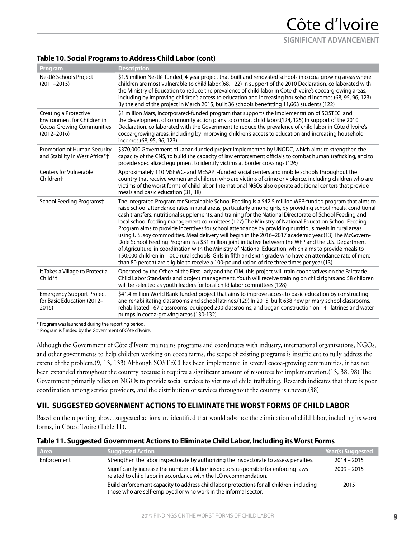**SIGNIFICANT ADVANCEMENT**

#### **Table 10. Social Programs to Address Child Labor (cont)**

| Program                                                                                              | <b>Description</b>                                                                                                                                                                                                                                                                                                                                                                                                                                                                                                                                                                                                                                                                                                                                                                                                                                                                                                                                                                                                                                                                                   |
|------------------------------------------------------------------------------------------------------|------------------------------------------------------------------------------------------------------------------------------------------------------------------------------------------------------------------------------------------------------------------------------------------------------------------------------------------------------------------------------------------------------------------------------------------------------------------------------------------------------------------------------------------------------------------------------------------------------------------------------------------------------------------------------------------------------------------------------------------------------------------------------------------------------------------------------------------------------------------------------------------------------------------------------------------------------------------------------------------------------------------------------------------------------------------------------------------------------|
| Nestlé Schools Project<br>$(2011 - 2015)$                                                            | \$1.5 million Nestlé-funded, 4-year project that built and renovated schools in cocoa-growing areas where<br>children are most vulnerable to child labor.(68, 122) In support of the 2010 Declaration, collaborated with<br>the Ministry of Education to reduce the prevalence of child labor in Côte d'Ivoire's cocoa-growing areas,<br>including by improving children's access to education and increasing household incomes.(68, 95, 96, 123)<br>By the end of the project in March 2015, built 36 schools benefitting 11,663 students.(122)                                                                                                                                                                                                                                                                                                                                                                                                                                                                                                                                                     |
| Creating a Protective<br>Environment for Children in<br>Cocoa-Growing Communities<br>$(2012 - 2016)$ | \$1 million Mars, Incorporated-funded program that supports the implementation of SOSTECI and<br>the development of community action plans to combat child labor.(124, 125) In support of the 2010<br>Declaration, collaborated with the Government to reduce the prevalence of child labor in Côte d'Ivoire's<br>cocoa-growing areas, including by improving children's access to education and increasing household<br>incomes.(68, 95, 96, 123)                                                                                                                                                                                                                                                                                                                                                                                                                                                                                                                                                                                                                                                   |
| Promotion of Human Security<br>and Stability in West Africa*+                                        | \$370,000 Government of Japan-funded project implemented by UNODC, which aims to strengthen the<br>capacity of the CNS, to build the capacity of law enforcement officials to combat human trafficking, and to<br>provide specialized equipment to identify victims at border crossings.(126)                                                                                                                                                                                                                                                                                                                                                                                                                                                                                                                                                                                                                                                                                                                                                                                                        |
| <b>Centers for Vulnerable</b><br>Children <sup>+</sup>                                               | Approximately 110 MSFWC- and MESAPT-funded social centers and mobile schools throughout the<br>country that receive women and children who are victims of crime or violence, including children who are<br>victims of the worst forms of child labor. International NGOs also operate additional centers that provide<br>meals and basic education.(31, 38)                                                                                                                                                                                                                                                                                                                                                                                                                                                                                                                                                                                                                                                                                                                                          |
| School Feeding Programst                                                                             | The Integrated Program for Sustainable School Feeding is a \$42.5 million WFP-funded program that aims to<br>raise school attendance rates in rural areas, particularly among girls, by providing school meals, conditional<br>cash transfers, nutritional supplements, and training for the National Directorate of School Feeding and<br>local school feeding management committees.(127) The Ministry of National Education School Feeding<br>Program aims to provide incentives for school attendance by providing nutritious meals in rural areas<br>using U.S. soy commodities. Meal delivery will begin in the 2016-2017 academic year.(13) The McGovern-<br>Dole School Feeding Program is a \$31 million joint initiative between the WFP and the U.S. Department<br>of Agriculture, in coordination with the Ministry of National Education, which aims to provide meals to<br>150,000 children in 1,000 rural schools. Girls in fifth and sixth grade who have an attendance rate of more<br>than 80 percent are eligible to receive a 100-pound ration of rice three times per year.(13) |
| It Takes a Village to Protect a<br>Child*+                                                           | Operated by the Office of the First Lady and the CIM, this project will train cooperatives on the Fairtrade<br>Child Labor Standards and project management. Youth will receive training on child rights and 58 children<br>will be selected as youth leaders for local child labor committees.(128)                                                                                                                                                                                                                                                                                                                                                                                                                                                                                                                                                                                                                                                                                                                                                                                                 |
| <b>Emergency Support Project</b><br>for Basic Education (2012-<br>2016)                              | \$41.4 million World Bank-funded project that aims to improve access to basic education by constructing<br>and rehabilitating classrooms and school latrines.(129) In 2015, built 638 new primary school classrooms,<br>rehabilitated 167 classrooms, equipped 200 classrooms, and began construction on 141 latrines and water<br>pumps in cocoa-growing areas.(130-132)                                                                                                                                                                                                                                                                                                                                                                                                                                                                                                                                                                                                                                                                                                                            |

\* Program was launched during the reporting period.

† Program is funded by the Government of Côte d'Ivoire.

Although the Government of Côte d'Ivoire maintains programs and coordinates with industry, international organizations, NGOs, and other governments to help children working on cocoa farms, the scope of existing programs is insufficient to fully address the extent of the problem.(9, 13, 133) Although SOSTECI has been implemented in several cocoa-growing communities, it has not been expanded throughout the country because it requires a significant amount of resources for implementation.(13, 38, 98) The Government primarily relies on NGOs to provide social services to victims of child trafficking. Research indicates that there is poor coordination among service providers, and the distribution of services throughout the country is uneven.(38)

### **VII. SUGGESTED GOVERNMENT ACTIONS TO ELIMINATE THE WORST FORMS OF CHILD LABOR**

Based on the reporting above, suggested actions are identified that would advance the elimination of child labor, including its worst forms, in Côte d'Ivoire (Table 11).

|  | Table 11. Suggested Government Actions to Eliminate Child Labor, Including its Worst Forms |  |  |
|--|--------------------------------------------------------------------------------------------|--|--|
|  |                                                                                            |  |  |

| <b>Area</b> | <b>Suggested Action</b>                                                                                                                                      | Year(s) Suggested |
|-------------|--------------------------------------------------------------------------------------------------------------------------------------------------------------|-------------------|
| Enforcement | Strengthen the labor inspectorate by authorizing the inspectorate to assess penalties.                                                                       | $2014 - 2015$     |
|             | Significantly increase the number of labor inspectors responsible for enforcing laws<br>related to child labor in accordance with the ILO recommendation.    | $2009 - 2015$     |
|             | Build enforcement capacity to address child labor protections for all children, including<br>those who are self-employed or who work in the informal sector. | 2015              |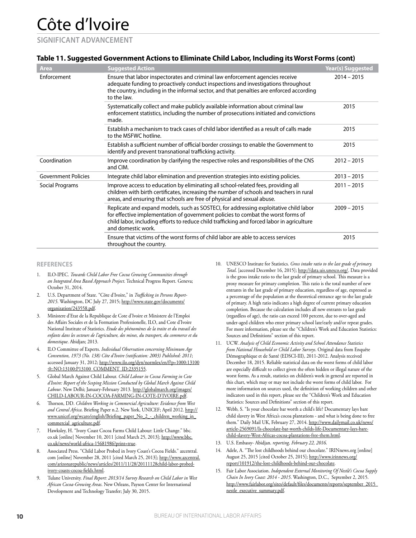#### **SIGNIFICANT ADVANCEMENT**

#### **Table 11. Suggested Government Actions to Eliminate Child Labor, Including its Worst Forms (cont)**

| <b>Area</b>                | <b>Suggested Action</b>                                                                                                                                                                                                                                                                       | <b>Year(s) Suggested</b> |
|----------------------------|-----------------------------------------------------------------------------------------------------------------------------------------------------------------------------------------------------------------------------------------------------------------------------------------------|--------------------------|
| Enforcement                | Ensure that labor inspectorates and criminal law enforcement agencies receive<br>adequate funding to proactively conduct inspections and investigations throughout<br>the country, including in the informal sector, and that penalties are enforced according<br>to the law.                 | $2014 - 2015$            |
|                            | Systematically collect and make publicly available information about criminal law<br>enforcement statistics, including the number of prosecutions initiated and convictions<br>made.                                                                                                          | 2015                     |
|                            | Establish a mechanism to track cases of child labor identified as a result of calls made<br>to the MSFWC hotline.                                                                                                                                                                             | 2015                     |
|                            | Establish a sufficient number of official border crossings to enable the Government to<br>identify and prevent transnational trafficking activity.                                                                                                                                            | 2015                     |
| Coordination               | Improve coordination by clarifying the respective roles and responsibilities of the CNS<br>and CIM.                                                                                                                                                                                           | $2012 - 2015$            |
| <b>Government Policies</b> | Integrate child labor elimination and prevention strategies into existing policies.                                                                                                                                                                                                           | $2013 - 2015$            |
| Social Programs            | Improve access to education by eliminating all school-related fees, providing all<br>children with birth certificates, increasing the number of schools and teachers in rural<br>areas, and ensuring that schools are free of physical and sexual abuse.                                      | $2011 - 2015$            |
|                            | Replicate and expand models, such as SOSTECI, for addressing exploitative child labor<br>for effective implementation of government policies to combat the worst forms of<br>child labor, including efforts to reduce child trafficking and forced labor in agriculture<br>and domestic work. | $2009 - 2015$            |
|                            | Ensure that victims of the worst forms of child labor are able to access services<br>throughout the country.                                                                                                                                                                                  | 2015                     |

#### **REFERENCES**

- 1. ILO-IPEC. *Towards Child Labor Free Cocoa Growing Communities through an Integrated Area Based Approach Project*. Technical Progress Report. Geneva; October 31, 2014.
- 2. U.S. Department of State. "Côte d'Ivoire," in *Trafficking in Persons Report-2015*. Washington, DC July 27, 2015; http://www.state.gov/documents/ organization/243558.pdf.
- 3. Ministere d'Etat de la Republique de Cote d'Ivoire et Ministere de l'Emploi des Affairs Sociales et de la Formation Professionelle, ILO, and Cote d'Ivoire National Institute of Statistics. *Etude des phénomènes de la traite et du travail des enfants dans les secteurs de l'agriculture, des mines, du transport, du commerce et du domestique*. Abidjan; 2013.
- 4. ILO Committee of Experts. *Individual Observation concerning Minimum Age Convention, 1973 (No. 138) Côte d'Ivoire (ratification: 2003) Published: 2011*; accessed January 31, 2012; http://www.ilo.org/dyn/normlex/en/f?p=1000:13100 :0::NO:13100:P13100\_COMMENT\_ID:2335155.
- 5. Global March Against Child Labour. *Child Labour in Cocoa Farming in Cote d'Ivoire: Report of the Scoping Mission Conducted by Global March Against Child Labour*. New Delhi; January-February 2013. http://globalmarch.org/images/ CHILD-LABOUR-IN-COCOA-FARMING-IN-COTE-D'IVOIRE.pdf.
- Thorson, DD. Children Working in Commercial Agriculture: Evidence from West *and Central Africa*. Briefing Paper n.2. New York, UNICEF; April 2012. http:// www.unicef.org/wcaro/english/Briefing\_paper\_No\_2\_-\_children\_working\_in\_ commercial\_agriculture.pdf.
- 7. Hawksley, H. "Ivory Coast Cocoa Farms Child Labour: Little Change." bbc. co.uk [online] November 10, 2011 [cited March 25, 2013]; http://www.bbc. co.uk/news/world-africa-15681986?print=true.
- Associated Press. "Child Labor Probed in Ivory Coast's Cocoa Fields." azcentral. com [online] November 28, 2011 [cited March 25, 2013]; http://www.azcentral. com/arizonarepublic/news/articles/2011/11/28/20111128child-labor-probedivory-coasts-cocoa-fields.html.
- 9. Tulane University. *Final Report: 2013/14 Survey Research on Child Labor in West African Cocoa-Growing Areas*. New Orleans, Payson Center for International Development and Technology Transfer; July 30, 2015.
- 10. UNESCO Institute for Statistics. *Gross intake ratio to the last grade of primary. Total*. [accessed December 16, 2015]; http://data.uis.unesco.org/. Data provided is the gross intake ratio to the last grade of primary school. This measure is a proxy measure for primary completion. This ratio is the total number of new entrants in the last grade of primary education, regardless of age, expressed as a percentage of the population at the theoretical entrance age to the last grade of primary. A high ratio indicates a high degree of current primary education completion. Because the calculation includes all new entrants to last grade (regardless of age), the ratio can exceed 100 percent, due to over-aged and under-aged children who enter primary school late/early and/or repeat grades. For more information, please see the "Children's Work and Education Statistics: Sources and Definitions" section of this report.
- 11. UCW. *Analysis of Child Economic Activity and School Attendance Statistics from National Household or Child Labor Surveys*. Original data from Enquête Démographique et de Santé (EDSCI-III), 2011-2012. Analysis received December 18, 2015. Reliable statistical data on the worst forms of child labor are especially difficult to collect given the often hidden or illegal nature of the worst forms. As a result, statistics on children's work in general are reported in this chart, which may or may not include the worst forms of child labor. For more information on sources used, the definition of working children and other indicators used in this report, please see the "Children's Work and Education Statistics: Sources and Definitions" section of this report.
- 12. Webb, S. "Is your chocolate bar worth a child's life? Documentary lays bare child slavery in West Africa's cocoa plantations - and what is being done to free them." Daily Mail UK, February 27, 2014. http://www.dailymail.co.uk/news/ article-2569091/Is-chocolate-bar-worth-childs-life-Documentary-lays-barechild-slavery-West-Africas-cocoa-plantations-free-them.html.
- 13. U.S. Embassy- Abidjan. *reporting, February 22, 2016*.
- 14. Adele, A. "The lost childhoods behind our chocolate." IRINnews.org [online] August 25, 2015 [cited October 25, 2015]; http://www.irinnews.org/ report/101912/the-lost-childhoods-behind-our-chocolate.
- 15. Fair Labor Association. *Independent External Monitoring Of Nestlé's Cocoa Supply Chain In Ivory Coast: 2014 - 2015*. Washington, D.C., September 2, 2015. http://www.fairlabor.org/sites/default/files/documents/reports/september\_2015\_ nestle\_executive\_summary.pdf.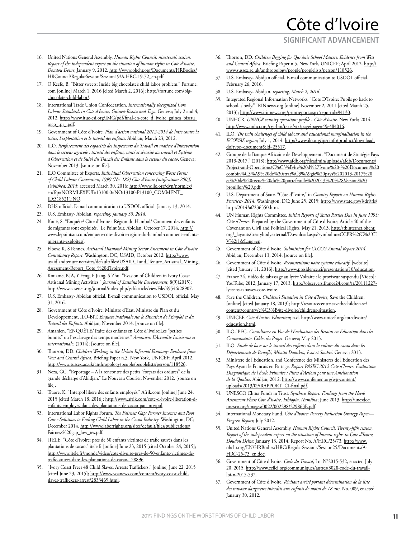#### **SIGNIFICANT ADVANCEMENT**

- 16. United Nations General Assembly. *Human Rights Council, nineteenth session, Report of the independent expert on the situation of human rights in Cote d'Ivoire, Doudou Deine*; January 9, 2012. http://www.ohchr.org/Documents/HRBodies/ HRCouncil/RegularSession/Session19/A-HRC-19-72\_en.pdf.
- 17. O'Keefe, B. "Bitter sweets: Inside big chocolate's child labor problem." Fortune. com [online] March 1, 2016 [cited March 2, 2016]; http://fortune.com/bigchocolate-child-labor/.
- 18. International Trade Union Confederation. *Internationally Recognized Core Labour Standards in Cote d'Ivoire, Guinea-Bissau and Togo*. Geneva; July 2 and 4, 2012. http://www.ituc-csi.org/IMG/pdf/final-en-cote\_d\_ivoire\_guinea\_bissau\_ togo\_tpr\_.pdf.
- 19. Government of Côte d'Ivoire. *Plan d'action national 2012-2014 de lutte contre la traite, l'exploitation et le travail des enfants*. Abidjan; March 23, 2012.
- 20. ILO. *Renforcement des capacités des Inspecteurs du Travail en matière d'intervention dans le secteur agricole : travail des enfants, santé et sécurité au travail et Système d'Observation et de Suivi du Travail des Enfants dans le secteur du cacao*. Geneva; November 2013. [source on file].
- 21. ILO Committee of Experts. *Individual Observation concerning Worst Forms of Child Labour Convention, 1999 (No. 182) Côte d'Ivoire (ratification: 2003)*  Published: 2015; accessed March 30, 2016; http://www.ilo.org/dyn/normlex/ en/f?p=NORMLEXPUB:13100:0::NO:13100:P13100\_COMMENT\_ ID:3185211:NO.
- 22. DHS official. E-mail communication to USDOL official. January 13, 2014.
- 23. U.S. Embassy- Abidjan. *reporting, January 30, 2014*.
- 24. Koné, S. "Enquête/ Côte d'Ivoire : Région du Hambol/ Comment des enfants de migrants sont exploités." Le Point Sur, Abidjan, October 17, 2014. http:// www.lepointsur.com/enquete-cote-divoire-region-du-hambol-comment-enfantsmigrants-exploites/.
- 25. Elbow, K, S Pennes. *Artisanal Diamond Mining Sector Assessment in Côte d'Ivoire Consultancy Report*. Washington, DC, USAID; October 2012. http://www. usaidlandtenure.net/sites/default/files/USAID\_Land\_Tenure\_Artisanal\_Mining\_ Assessment-Report\_Cote\_%20d'Ivoire.pdf.
- 26. Kouame, KJA, Y Feng, F Jiang, S Zhu. "Evasion of Children in Ivory Coast Artisanal Mining Activities " *Journal of Sustainable Development*, 8(9)(2015); http://www.ccsenet.org/journal/index.php/jsd/article/viewFile/49546/28907.
- 27. U.S. Embassy- Abidjan official. E-mail communication to USDOL official. May 31, 2016.
- 28. Government of Côte d'Ivoire: Ministre d'Etat, Ministre du Plan et du Developpement, ILO-BIT. *Enquete Nationale sur le Situation de l'Emploi et du Travail des Enfants*. Abidjan; November 2014. [source on file].
- 29. Amanien. "ENQUÊTE/Traite des enfants en Côte d`Ivoire:Les "petites bonnes" ou l`esclavage des temps modernes." *Amanien: L'Actualite Ivoirienne et Internationale*, (2014); [source on file].
- 30. Thorson, DD. *Children Working in the Urban Informal Economy: Evidence from West and Central Africa*. Briefing Paper n.3. New York, UNICEF; April 2012. http://www.sussex.ac.uk/anthropology/people/peoplelists/person/118526.
- 31. Neza, GC. "Reportage A la rencontre des petits "forçats des ordures" de la grande décharge d'Abidjan." Le Nouveau Courier, November 2012. [source on file].
- 32. Traore, K. "Interpol libère des enfants employés." Afrik.com [online] June 24, 2015 [cited March 18, 2016]; http://www.afrik.com/cote-d-ivoire-liberation-denfants-employes-dans-des-plantations-de-cacao-par-interpol.
- 33. International Labor Rights Forum. *The Fairness Gap: Farmer Incomes and Root Cause Solutions to Ending Child Labor in the Cocoa Industry*. Washington, DC; December 2014. http://www.laborrights.org/sites/default/files/publications/ Fairness%20gap\_low\_res.pdf.
- 34. iTELE. "Côte d'Ivoire: près de 50 enfants victimes de trafic sauvés dans les plantations de cacao." itele.fr [online] June 23, 2015 [cited October 24, 2015]; http://www.itele.fr/monde/video/cote-divoire-pres-de-50-enfants-victimes-detrafic-sauves-dans-les-plantations-de-cacao-128896.
- 35. "Ivory Coast Frees 48 Child Slaves, Arrests Traffickers." [online] June 22, 2015 [cited June 23, 2015]; http://www.voanews.com/content/ivory-coast-childslaves-traffickers-arrest/2833469.html.
- 36. Thorson, DD. *Children Begging for Qur'ānic School Masters: Evidence from West*  and Central Africa. Briefing Paper n.5. New York, UNICEF; April 2012. http:// www.sussex.ac.uk/anthropology/people/peoplelists/person/118526.
- 37. U.S. Embassy- Abidjan official. E-mail communication to USDOL official. February 26, 2016.
- 38. U.S. Embassy- Abidjan. *reporting, March 2, 2016*.
- 39. Integrated Regional Information Networks. "Cote D'Ivoire: Pupils go back to school, slowly." IRINnews.org [online] November 2, 2011 [cited March 25, 2013]; http://www.irinnews.org/printreport.aspx?reportid=94130.
- 40. UNHCR. *UNHCR country operations profile Côte d'Ivoire*. New York; 2014. http://www.unhcr.org/cgi-bin/texis/vtx/page?page=49e484016.
- 41. ILO. *The twin challenges of child labour and educational marginalisation in the ECOWAS region*; July 1, 2014. http://www.ilo.org/ipecinfo/product/download. do?type=document&id=25517.
- 42. Groupe de la Banque Africaine de Developpement. "Document de Stratégie Pays 2013-2017." (2013); http://www.afdb.org/fileadmin/uploads/afdb/Documents/ Project-and-Operations/C%C3%B4te%20d%27Ivoire%20-%20Document%20 combin%C3%A9%20de%20strat%C3%A9gie%20pays%202013-2017%20 et%20de%20revue%20du%20portefeuille%202013%20%28Version%20 brouillon%29.pdf.
- 43. U.S. Department of State. "Côte d'Ivoire," in *Country Reports on Human Rights*  Practices- 2014. Washington, DC; June 25, 2015; http://www.state.gov/j/drl/rls/ hrrpt/2014/af/236350.htm.
- 44. UN Human Rights Committee. *Initial Reports of States Parties Due in June 1993: Côte d'Ivoire*. Prepared by the Government of Côte d'Ivoire, Article 40 of the Covenant on Civil and Political Rights. May 21, 2013. http://tbinternet.ohchr. org/\_layouts/treatybodyexternal/Download.aspx?symbolno=CCPR%2fC%2fCI V%2f1&Lang=en.
- 45. Government of Côte d'Ivoire. *Submission for CLCCG Annual Report 2014*. Abidjan; December 13, 2014. [source on file].
- 46. Government of Côte d'Ivoire. *Reconstruisons notre systeme educatif*, [website] [cited January 11, 2016]; http://www.presidence.ci/presentation/10/education.
- 47. France 24. Vidéo de tabassage au lycée Voltaire : le proviseur suspendu [Video]: YouTube; 2012, January 17, 2013; http://observers.france24.com/fr/20111227 lyceens-tabasses-cote-ivoire.
- 48. Save the Children. *Children's Situation in Côte d'Ivoire*, Save the Children, [online] [cited January 18, 2013]; http://resourcecentre.savethechildren.se/ content/country/c%C3%B4te-divoire/childrens-situation.
- 49. UNICEF. *Cote d'Ivoire: Education*; n.d. http://www.unicef.org/cotedivoire/ education.html.
- 50. ILO-IPEC. *Consultance en Vue de l'Evaluation des Besoins en Education dans les Communautes Cibles du Projet*. Geneva; May 2013.
- 51. ILO. *Etude de base sur le travail des enfants dans la culture du cacao dans les Départements de Bouaflé, Mbatto Daoukro, Issia et Soubré*. Geneva; 2013.
- 52. Ministere de l'Education, and Conference des Ministeres de l'Education des Pays Ayant le Francais en Partage. *Raport PASEC 2012 Cote d'Ivoire: Évaluation Diagnostique de l'École Primaire : Pistes d'Actions pour une Amelioration de la Qualite*. Abidjan; 2012. http://www.confemen.org/wp-content/ uploads/2013/09/RAPPORT\_CI-final.pdf.
- 53. UNESCO China Funds in Trust. *Synthesis Report: Findings from the Needs Assessment Phase Cote d'Ivoire, Ethiopia, Namibia*; June 2013. http://unesdoc. unesco.org/images/0022/002298/229863E.pdf.
- 54. International Monetary Fund. *Côte d'Ivoire: Poverty Reduction Strategy Paper— Progress Report*; July 2012.
- 55. United Nations General Assembly. *Human Rights Council, Twenty-fifth session, Report of the independent expert on the situation of human rights in Cote d'Ivoire, Doudou Deine*; January 13, 2014. Report No. A/HRC/25/73. http://www. ohchr.org/EN/HRBodies/HRC/RegularSessions/Session25/Documents/A-HRC-25-73\_en.doc.
- 56. Government of Côte d'Ivoire. *Code du Travail*, Loi N°2015-532, enacted July 20, 2015. http://www.ccilci.org/communiques/autres/3028-code-du-travailloi-n-2015-532.
- 57. Government of Côte d'Ivoire. *Révisant arrêté portant détermination de la liste des travaux dangereux interdits aux enfants de moins de 18 ans*, No. 009, enacted Janaury 30, 2012.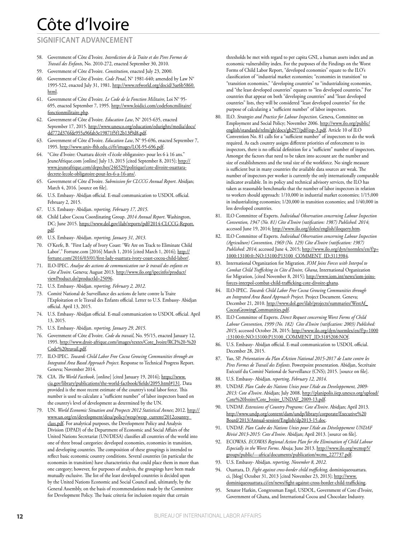#### **SIGNIFICANT ADVANCEMENT**

- 58. Government of Côte d'Ivoire. *Interdiction de la Traite et des Pires Formes de Travail des Enfants*, No. 2010-272, enacted September 30, 2010.
- 59. Government of Côte d'Ivoire. *Constitution*, enacted July 23, 2000.
- 60. Government of Côte d'Ivoire. *Code Penal*, N° 1981-640; amended by Law N° 1995-522, enacted July 31, 1981. http://www.refworld.org/docid/3ae6b5860. html.
- 61. Government of Côte d'Ivoire. *Le Code de la Fonction Militaire*, Loi N° 95- 695, enacted September 7, 1995. http://www.loidici.com/codefoncmilitaire/ fonctionmilitaire.php.
- 62. Government of Côte d'Ivoire. *Education Law*, N° 2015-635, enacted September 17, 2015. http://www.unesco.org/education/edurights/media/docs/ dd772d376fde955a96fab3e19871f5f12b13f9d8.pdf.
- 63. Government of Côte d'Ivoire. *Education Law*, N° 95-696, enacted September 7, 1995. http://www.univ-fhb.edu.ci/fr/images/LOI-95-696.pdf.
- 64. "Côte d'Ivoire: Ouattara décrèt <l'école obligatoire> pour les 6 à 16 ans." JeuneAfrique.com [online] July 13, 2015 [cited September 8, 2015]; http:// www.jeuneafrique.com/depeches/246529/politique/cote-divoire-ouattaradecrete-lecole-obligatoire-pour-les-6-a-16-ans/.
- 65. Government of Côte d'Ivoire. *Submission for CLCCG Annual Report*. Abidjan; March 4, 2016. [source on file].
- 66. U.S. Embassy- Abidjan official. E-mail communication to USDOL official. February 2, 2015.
- 67. U.S. Embassy- Abidjan. *reporting, February 17, 2015*.
- 68. Child Labor Cocoa Coordinating Group. *2014 Annual Report*. Washington, DC; June 2015. https://www.dol.gov/ilab/reports/pdf/2014-CLCCG-Report. pdf.
- 69. U.S. Embassy- Abidjan. *reporting, January 31, 2013*.
- 70. O'Keefe, B. "First Lady of Ivory Coast: 'We Are on Track to Eliminate Child Labor'." Fortune.com [2016] March 1, 2016 [cited March 1, 2016]; http:// fortune.com/2016/03/01/first-lady-ouattara-ivory-coast-cocoa-child-labor/.
- 71. ILO-IPEC. *Analyse des actions de communication sur le travail des enfants en Côte d'Ivoire*. Geneva; August 2013. http://www.ilo.org/ipecinfo/product/ viewProduct.do?productId=25096.
- 72. U.S. Embassy- Abidjan. *reporting, February 2, 2012*.
- 73. Comité National de Surveillance des actions de lutte contre la Traite l'Exploitation et le Travail des Enfants official. Letter to U.S. Embassy- Abidjan official. April 13, 2015.
- 74. U.S. Embassy- Abidjan official. E-mail communication to USDOL official. April 13, 2015.
- 75. U.S. Embassy- Abidjan. *reporting, January 29, 2015*.
- 76. Government of Côte d'Ivoire. *Code du travail*, No. 95/15, enacted January 12, 1995. http://www.droit-afrique.com/images/textes/Cote\_Ivoire/RCI%20-%20 Code%20travail.pdf.
- 77. ILO-IPEC. *Towards Child Labor Free Cocoa Growing Communities through an Integrated Area Based Approach Project*. Response to Technical Progress Report. Geneva; November 2014.
- 78. CIA. *The World Factbook*, [online] [cited January 19, 2016]; https://www. cia.gov/library/publications/the-world-factbook/fields/2095.html#131. Data provided is the most recent estimate of the country's total labor force. This number is used to calculate a "sufficient number" of labor inspectors based on the country's level of development as determined by the UN.
- 79. UN. *World Economic Situation and Prospects 2012 Statistical Annex*; 2012. http:// www.un.org/en/development/desa/policy/wesp/wesp\_current/2012country\_ class.pdf. For analytical purposes, the Development Policy and Analysis Division (DPAD) of the Department of Economic and Social Affairs of the United Nations Secretariat (UN/DESA) classifies all countries of the world into one of three broad categories: developed economies, economies in transition, and developing countries. The composition of these groupings is intended to reflect basic economic country conditions. Several countries (in particular the economies in transition) have characteristics that could place them in more than one category; however, for purposes of analysis, the groupings have been made mutually exclusive. The list of the least developed countries is decided upon by the United Nations Economic and Social Council and, ultimately, by the General Assembly, on the basis of recommendations made by the Committee for Development Policy. The basic criteria for inclusion require that certain

thresholds be met with regard to per capita GNI, a human assets index and an economic vulnerability index. For the purposes of the Findings on the Worst Forms of Child Labor Report, "developed economies" equate to the ILO's classification of "industrial market economies; "economies in transition" to "transition economies," "developing countries" to "industrializing economies, and "the least developed countries" equates to "less developed countries." For countries that appear on both "developing countries" and "least developed countries" lists, they will be considered "least developed countries" for the purpose of calculating a "sufficient number" of labor inspectors.

- 80. ILO. *Strategies and Practice for Labour Inspection*. Geneva, Committee on Employment and Social Policy; November 2006. http://www.ilo.org/public/ english/standards/relm/gb/docs/gb297/pdf/esp-3.pdf. Article 10 of ILO Convention No. 81 calls for a "sufficient number" of inspectors to do the work required. As each country assigns different priorities of enforcement to its inspectors, there is no official definition for a "sufficient" number of inspectors. Amongst the factors that need to be taken into account are the number and size of establishments and the total size of the workforce. No single measure is sufficient but in many countries the available data sources are weak. The number of inspectors per worker is currently the only internationally comparable indicator available. In its policy and technical advisory services, the ILO has taken as reasonable benchmarks that the number of labor inspectors in relation to workers should approach: 1/10,000 in industrial market economies; 1/15,000 in industrializing economies; 1/20,000 in transition economies; and 1/40,000 in less developed countries.
- 81. ILO Committee of Experts. *Individual Observation concerning Labour Inspection Convention, 1947 (No. 81) Côte d'Ivoire (ratification: 1987) Published: 2014*; accessed June 19, 2014; http://www.ilo.org/ilolex/english/iloquery.htm.
- 82. ILO Committee of Experts. *Individual Observation concerning Labour Inspection (Agriculture) Convention, 1969 (No. 129) Côte d'Ivoire (ratification: 1987) Published: 2014*; accessed June 4, 2015; http://www.ilo.org/dyn/normlex/en/f?p= 1000:13100:0::NO:13100:P13100\_COMMENT\_ID:3113984.
- 83. International Organization for Migration. *IOM Joins Forces with Interpol to Combat Child Trafficking in Côte d'Ivoire, Ghana*, International Organization for Migration, [cited November 8, 2015]; http://www.iom.int/news/iom-joinsforces-interpol-combat-child-trafficking-cote-divoire-ghana.
- 84. ILO-IPEC. *Towards Child Labor Free Cocoa Growing Communities through an Integrated Area Based Approach Project*. Project Document. Geneva; December 21, 2010. http://www.dol.gov/ilab/projects/summaries/WestAf\_ CocoaGrowingCommunities.pdf.
- 85. ILO Committee of Experts. *Direct Request concerning Worst Forms of Child Labour Convention, 1999 (No. 182) Côte d'Ivoire (ratification: 2003) Published: 2015*; accessed October 28, 2015; http://www.ilo.org/dyn/normlex/en/f?p=1000 :13100:0::NO:13100:P13100\_COMMENT\_ID:3185208:NOf.
- 86. U.S. Embassy- Abidjan official. E-mail communication to USDOL official. December 28, 2015.
- 87. Yao, SP. *Présentation du Plan d'Action National 2015-2017 de Lutte contre les Pires Formes de Travail des Enfants*. Powerpoint presentation. Abidjan, Secrétaire Exécutif du Comité National de Surveillance (CNS); 2015. [source on file].
- 88. U.S. Embassy- Abidjan. *reporting, February 12, 2014*.
- 89. UNDAF. *Plan Cadre des Nations Unies pour l'Aide au Developpement, 2009- 2013: Cote d'Ivoire*. Abidjan; July 2008. http://planipolis.iiep.unesco.org/upload/ Cote%20Ivoire/Cote\_Ivoire\_UNDAF\_2009-13.pdf.
- 90. UNDAF. *Extensions of Country Programs: Cote d'Ivoire*. Abidjan; April 2013. http://www.undp.org/content/dam/undp/library/corporate/Executive%20 Board/2013/Annual-session/English/dp2013-15.doc.
- 91. UNDAF. *Plan Cadre des Nations Unies pour l'Aide au Développement UNDAF Révisé 2013-2015: Cote d'Ivoire*. Abidjan; April 2013. [source on file].
- 92. ECOWAS. *ECOWAS Regional Action Plan for the Elimination of Child Labour Especially in the Worst Forms*. Abuja; June 2013. http://www.ilo.org/wcmsp5/ groups/public/---africa/documents/publication/wcms\_227737.pdf.
- 93. U.S. Embassy- Abidjan. *reporting, November 8, 2012*.
- 94. Ouattara, D. *Fight against cross-border child trafficking*, dominiqueouattara. ci, [blog] October 31, 2013 [cited November 23, 2013]; http://www. dominiqueouattara.ci/en/news/fight-against-cross-border-child-trafficking.
- 95. Senator Harkin, Congressman Engel, USDOL, Government of Cote d'Ivoire, Government of Ghana, and International Cocoa and Chocolate Industry.